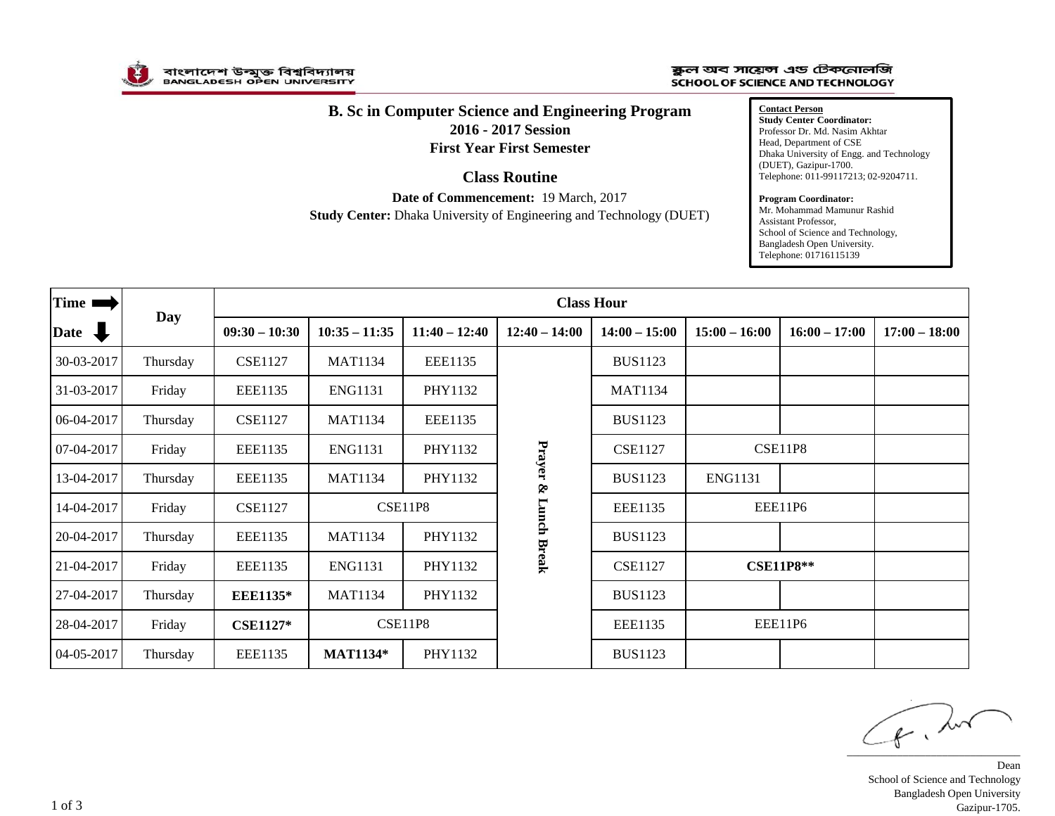

## ক্কুল অব সায়েন্স এড টেকনোলজি **SCHOOL OF SCIENCE AND TECHNOLOGY**

## **B. Sc in Computer Science and Engineering Program 2016 - 2017 Session First Year First Semester**

## **Class Routine**

**Date of Commencement:** 19 March, 2017 **Study Center:** Dhaka University of Engineering and Technology (DUET)

**Contact Person Study Center Coordinator:** Professor Dr. Md. Nasim Akhtar Head, Department of CSE Dhaka University of Engg. and Technology (DUET), Gazipur-1700. Telephone: 011-99117213; 02-9204711.

## **Program Coordinator:**

Mr. Mohammad Mamunur Rashid Assistant Professor, School of Science and Technology, Bangladesh Open University. Telephone: 01716115139

| Time 1       |          | <b>Class Hour</b> |                 |                 |                      |                 |                 |                  |                 |  |
|--------------|----------|-------------------|-----------------|-----------------|----------------------|-----------------|-----------------|------------------|-----------------|--|
| Date J       | Day      | $09:30 - 10:30$   | $10:35 - 11:35$ | $11:40 - 12:40$ | $12:40 - 14:00$      | $14:00 - 15:00$ | $15:00 - 16:00$ | $16:00 - 17:00$  | $17:00 - 18:00$ |  |
| 30-03-2017   | Thursday | <b>CSE1127</b>    | <b>MAT1134</b>  | <b>EEE1135</b>  |                      | <b>BUS1123</b>  |                 |                  |                 |  |
| 31-03-2017   | Friday   | <b>EEE1135</b>    | <b>ENG1131</b>  | PHY1132         |                      | <b>MAT1134</b>  |                 |                  |                 |  |
| $06-04-2017$ | Thursday | <b>CSE1127</b>    | <b>MAT1134</b>  | <b>EEE1135</b>  |                      | <b>BUS1123</b>  |                 |                  |                 |  |
| 07-04-2017   | Friday   | EEE1135           | <b>ENG1131</b>  | PHY1132         | Prayer & Lunch Break | <b>CSE1127</b>  | <b>CSE11P8</b>  |                  |                 |  |
| 13-04-2017   | Thursday | EEE1135           | <b>MAT1134</b>  | PHY1132         |                      | <b>BUS1123</b>  | <b>ENG1131</b>  |                  |                 |  |
| 14-04-2017   | Friday   | <b>CSE1127</b>    | <b>CSE11P8</b>  |                 |                      | EEE1135         | EEE11P6         |                  |                 |  |
| 20-04-2017   | Thursday | EEE1135           | <b>MAT1134</b>  | PHY1132         |                      | <b>BUS1123</b>  |                 |                  |                 |  |
| 21-04-2017   | Friday   | <b>EEE1135</b>    | <b>ENG1131</b>  | PHY1132         |                      | <b>CSE1127</b>  |                 | <b>CSE11P8**</b> |                 |  |
| 27-04-2017   | Thursday | <b>EEE1135*</b>   | <b>MAT1134</b>  | PHY1132         |                      | <b>BUS1123</b>  |                 |                  |                 |  |
| 28-04-2017   | Friday   | <b>CSE1127*</b>   |                 | <b>CSE11P8</b>  |                      | EEE1135         |                 | EEE11P6          |                 |  |
| 04-05-2017   | Thursday | EEE1135           | <b>MAT1134*</b> | PHY1132         |                      | <b>BUS1123</b>  |                 |                  |                 |  |

 $\epsilon$ , but

Dean School of Science and Technology Bangladesh Open University Gazipur-1705.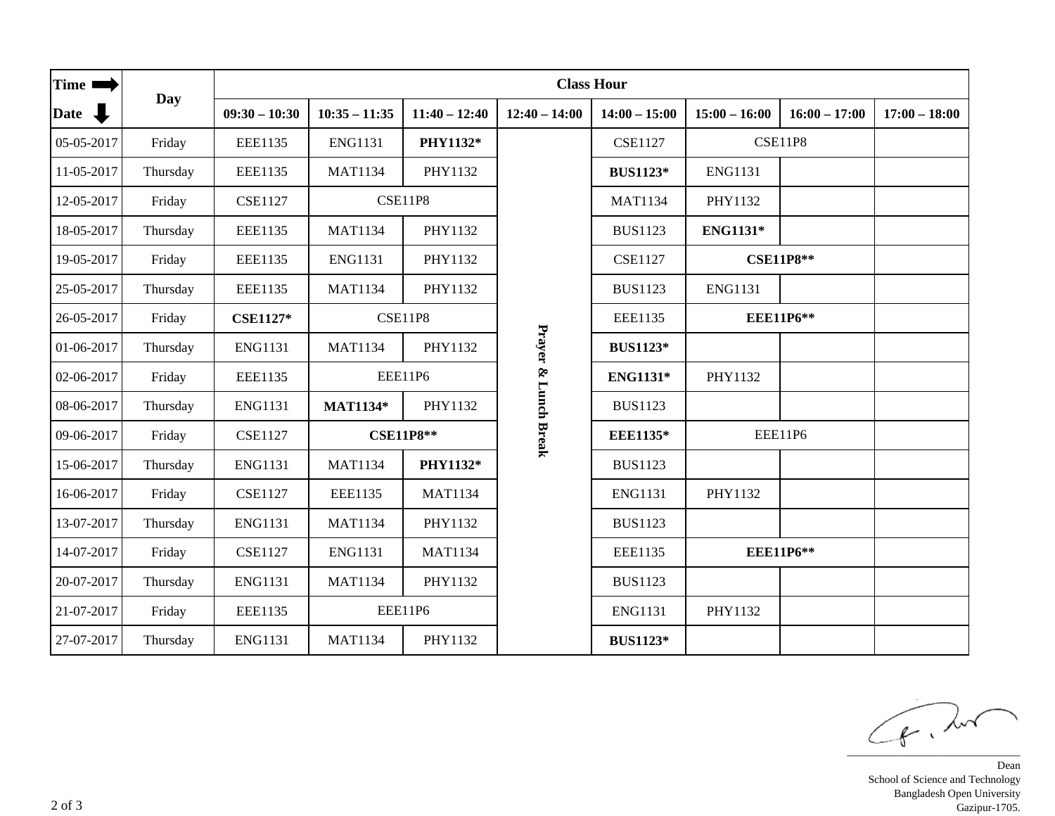| Time $\blacksquare$ |          | <b>Class Hour</b> |                  |                 |                      |                 |                  |                  |                 |  |
|---------------------|----------|-------------------|------------------|-----------------|----------------------|-----------------|------------------|------------------|-----------------|--|
| Date $\bigoplus$    | Day      | $09:30 - 10:30$   | $10:35 - 11:35$  | $11:40 - 12:40$ | $12:40 - 14:00$      | $14:00 - 15:00$ | $15:00 - 16:00$  | $16:00 - 17:00$  | $17:00 - 18:00$ |  |
| 05-05-2017          | Friday   | <b>EEE1135</b>    | <b>ENG1131</b>   | PHY1132*        |                      | <b>CSE1127</b>  | <b>CSE11P8</b>   |                  |                 |  |
| 11-05-2017          | Thursday | <b>EEE1135</b>    | <b>MAT1134</b>   | PHY1132         |                      | <b>BUS1123*</b> | <b>ENG1131</b>   |                  |                 |  |
| 12-05-2017          | Friday   | <b>CSE1127</b>    |                  | <b>CSE11P8</b>  |                      | <b>MAT1134</b>  | PHY1132          |                  |                 |  |
| 18-05-2017          | Thursday | <b>EEE1135</b>    | <b>MAT1134</b>   | PHY1132         |                      | <b>BUS1123</b>  | <b>ENG1131*</b>  |                  |                 |  |
| 19-05-2017          | Friday   | <b>EEE1135</b>    | <b>ENG1131</b>   | PHY1132         |                      | <b>CSE1127</b>  | <b>CSE11P8**</b> |                  |                 |  |
| 25-05-2017          | Thursday | <b>EEE1135</b>    | <b>MAT1134</b>   | PHY1132         |                      | <b>BUS1123</b>  | <b>ENG1131</b>   |                  |                 |  |
| 26-05-2017          | Friday   | <b>CSE1127*</b>   |                  | <b>CSE11P8</b>  |                      | <b>EEE1135</b>  | <b>EEE11P6**</b> |                  |                 |  |
| 01-06-2017          | Thursday | <b>ENG1131</b>    | <b>MAT1134</b>   | PHY1132         |                      | <b>BUS1123*</b> |                  |                  |                 |  |
| 02-06-2017          | Friday   | <b>EEE1135</b>    | EEE11P6          |                 | Prayer & Lunch Break | ENG1131*        | PHY1132          |                  |                 |  |
| 08-06-2017          | Thursday | <b>ENG1131</b>    | <b>MAT1134*</b>  | PHY1132         |                      | <b>BUS1123</b>  |                  |                  |                 |  |
| 09-06-2017          | Friday   | <b>CSE1127</b>    | <b>CSE11P8**</b> |                 |                      | <b>EEE1135*</b> | EEE11P6          |                  |                 |  |
| 15-06-2017          | Thursday | <b>ENG1131</b>    | <b>MAT1134</b>   | PHY1132*        |                      | <b>BUS1123</b>  |                  |                  |                 |  |
| 16-06-2017          | Friday   | <b>CSE1127</b>    | <b>EEE1135</b>   | <b>MAT1134</b>  |                      | <b>ENG1131</b>  | PHY1132          |                  |                 |  |
| 13-07-2017          | Thursday | <b>ENG1131</b>    | <b>MAT1134</b>   | PHY1132         |                      | <b>BUS1123</b>  |                  |                  |                 |  |
| 14-07-2017          | Friday   | <b>CSE1127</b>    | <b>ENG1131</b>   | <b>MAT1134</b>  |                      | <b>EEE1135</b>  |                  | <b>EEE11P6**</b> |                 |  |
| 20-07-2017          | Thursday | <b>ENG1131</b>    | <b>MAT1134</b>   | PHY1132         |                      | <b>BUS1123</b>  |                  |                  |                 |  |
| 21-07-2017          | Friday   | <b>EEE1135</b>    |                  | EEE11P6         |                      | <b>ENG1131</b>  | PHY1132          |                  |                 |  |
| 27-07-2017          | Thursday | <b>ENG1131</b>    | <b>MAT1134</b>   | PHY1132         |                      | <b>BUS1123*</b> |                  |                  |                 |  |

 $\sqrt{f}$